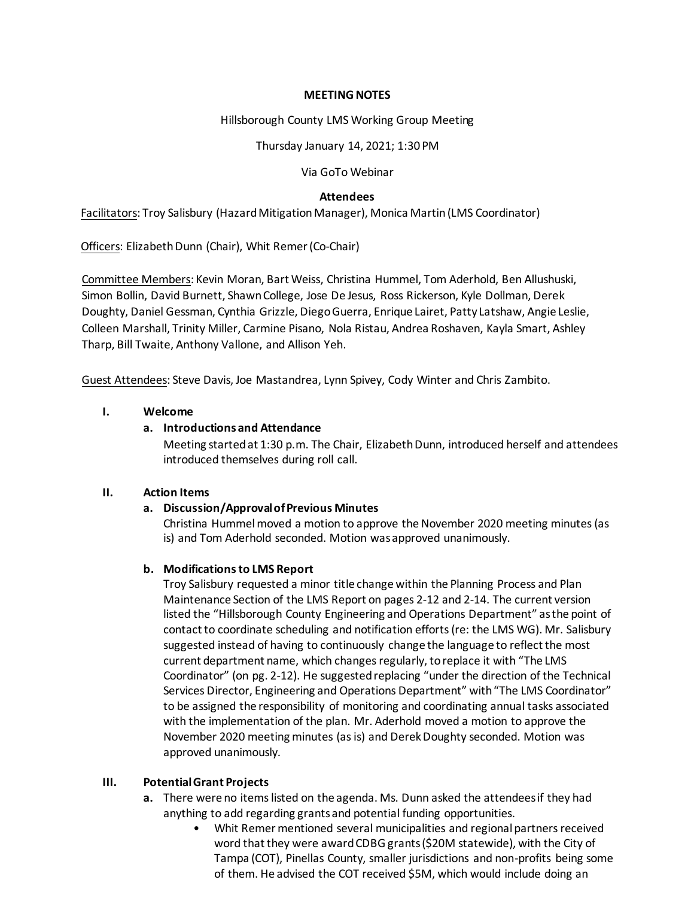#### **MEETING NOTES**

#### Hillsborough County LMS Working Group Meeting

Thursday January 14, 2021; 1:30 PM

Via GoTo Webinar

### **Attendees**

Facilitators: Troy Salisbury (Hazard Mitigation Manager), Monica Martin(LMS Coordinator)

Officers: Elizabeth Dunn (Chair), Whit Remer (Co-Chair)

Committee Members: Kevin Moran, Bart Weiss, Christina Hummel, Tom Aderhold, Ben Allushuski, Simon Bollin, David Burnett, Shawn College, Jose De Jesus, Ross Rickerson, Kyle Dollman, Derek Doughty, Daniel Gessman, Cynthia Grizzle, Diego Guerra, Enrique Lairet, Patty Latshaw, Angie Leslie, Colleen Marshall, Trinity Miller, Carmine Pisano, Nola Ristau, Andrea Roshaven, Kayla Smart, Ashley Tharp, Bill Twaite, Anthony Vallone, and Allison Yeh.

Guest Attendees: Steve Davis, Joe Mastandrea, Lynn Spivey, Cody Winter and Chris Zambito.

### **I. Welcome**

## **a. Introductionsand Attendance**

Meeting started at 1:30 p.m. The Chair, Elizabeth Dunn, introduced herself and attendees introduced themselves during roll call.

### **II. Action Items**

### **a. Discussion/Approval of Previous Minutes**

Christina Hummelmoved a motion to approve the November 2020 meeting minutes (as is) and Tom Aderhold seconded. Motion was approved unanimously.

### **b. Modifications to LMS Report**

Troy Salisbury requested a minor title change within the Planning Process and Plan Maintenance Section of the LMS Report on pages 2-12 and 2-14. The current version listed the "Hillsborough County Engineering and Operations Department" as the point of contact to coordinate scheduling and notification efforts (re: the LMS WG). Mr. Salisbury suggested instead of having to continuously change the language to reflect the most current department name, which changes regularly, to replace it with "The LMS Coordinator" (on pg. 2-12). He suggested replacing "under the direction of the Technical Services Director, Engineering and Operations Department" with "The LMS Coordinator" to be assigned the responsibility of monitoring and coordinating annual tasks associated with the implementation of the plan. Mr. Aderhold moved a motion to approve the November 2020 meeting minutes (as is) and Derek Doughty seconded. Motion was approved unanimously.

### **III. Potential Grant Projects**

- **a.** There were no items listed on the agenda. Ms. Dunn asked the attendees if they had anything to add regarding grants and potential funding opportunities.
	- Whit Remer mentioned several municipalities and regional partners received word that they were award CDBG grants (\$20M statewide), with the City of Tampa (COT), Pinellas County, smaller jurisdictions and non-profits being some of them. He advised the COT received \$5M, which would include doing an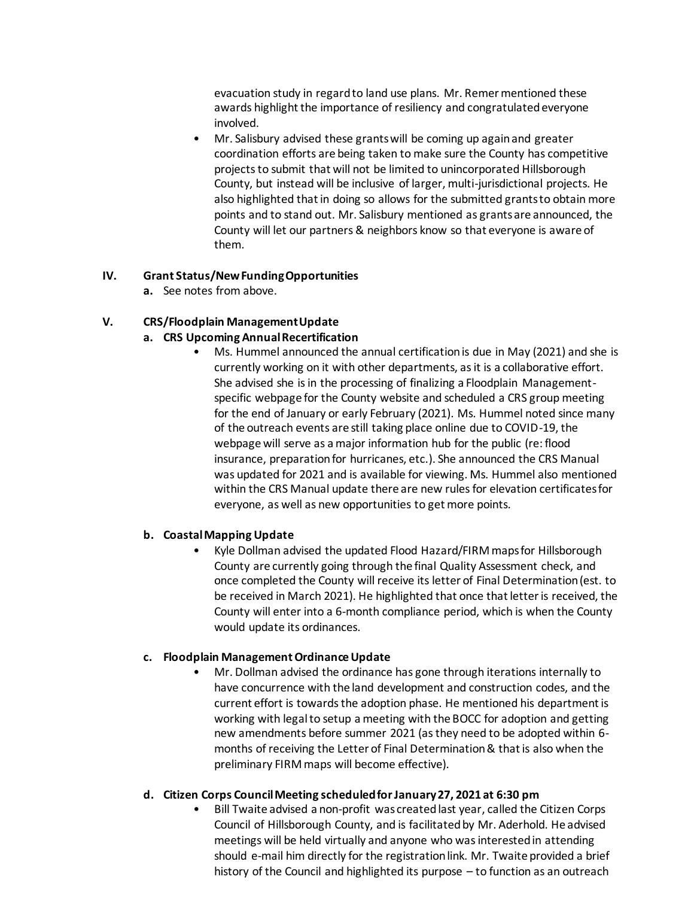evacuation study in regard to land use plans. Mr. Remer mentioned these awards highlight the importance of resiliency and congratulated everyone involved.

• Mr. Salisbury advised these grants will be coming up again and greater coordination efforts are being taken to make sure the County has competitive projects to submit that will not be limited to unincorporated Hillsborough County, but instead will be inclusive of larger, multi-jurisdictional projects. He also highlighted that in doing so allows for the submitted grants to obtain more points and to stand out. Mr. Salisbury mentioned as grants are announced, the County will let our partners & neighbors know so that everyone is aware of them.

### **IV. Grant Status/New Funding Opportunities**

**a.** See notes from above.

# **V. CRS/Floodplain Management Update**

# **a. CRS Upcoming Annual Recertification**

• Ms. Hummel announced the annual certification is due in May (2021) and she is currently working on it with other departments, as it is a collaborative effort. She advised she is in the processing of finalizing a Floodplain Managementspecific webpage for the County website and scheduled a CRS group meeting for the end of January or early February (2021). Ms. Hummel noted since many of the outreach events are still taking place online due to COVID-19, the webpage will serve as a major information hub for the public (re: flood insurance, preparation for hurricanes, etc.). She announced the CRS Manual was updated for 2021 and is available for viewing. Ms. Hummel also mentioned within the CRS Manual update there are new rules for elevation certificates for everyone, as well as new opportunities to get more points.

### **b. Coastal Mapping Update**

• Kyle Dollman advised the updated Flood Hazard/FIRM maps for Hillsborough County are currently going through the final Quality Assessment check, and once completed the County will receive its letter of Final Determination (est. to be received in March 2021). He highlighted that once that letter is received, the County will enter into a 6-month compliance period, which is when the County would update its ordinances.

### **c. Floodplain Management Ordinance Update**

• Mr. Dollman advised the ordinance has gone through iterations internally to have concurrence with the land development and construction codes, and the current effort is towards the adoption phase. He mentioned his department is working with legal to setup a meeting with the BOCC for adoption and getting new amendments before summer 2021 (as they need to be adopted within 6 months of receiving the Letter of Final Determination & that is also when the preliminary FIRM maps will become effective).

### **d. Citizen Corps Council Meeting scheduled for January 27, 2021 at 6:30 pm**

• Bill Twaite advised a non-profit was created last year, called the Citizen Corps Council of Hillsborough County, and is facilitated by Mr. Aderhold. He advised meetings will be held virtually and anyone who was interested in attending should e-mail him directly for the registration link. Mr. Twaite provided a brief history of the Council and highlighted its purpose – to function as an outreach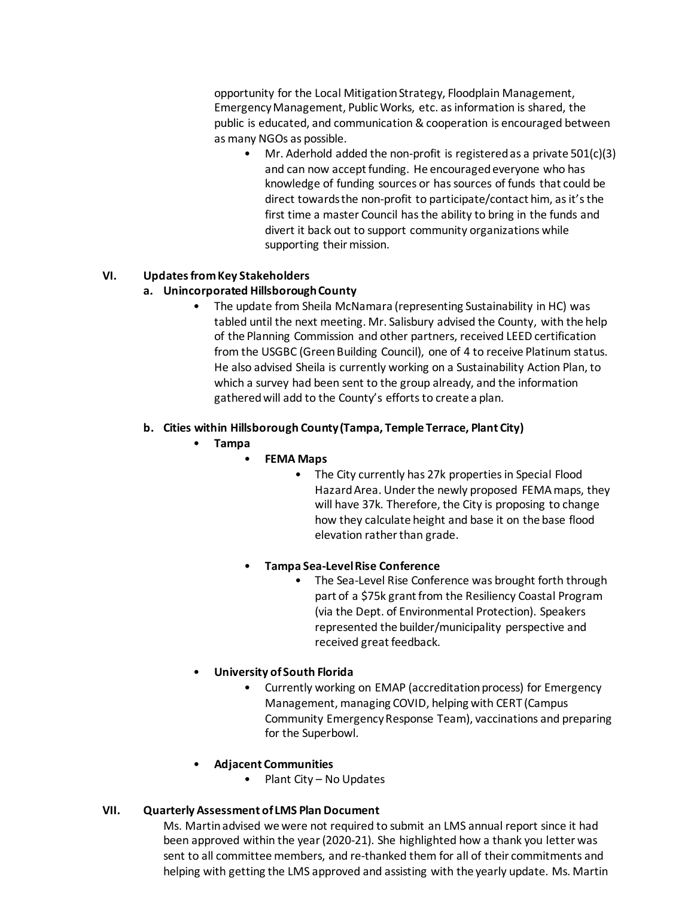opportunity for the Local Mitigation Strategy, Floodplain Management, Emergency Management, Public Works, etc. as information is shared, the public is educated, and communication & cooperation is encouraged between as many NGOs as possible.

• Mr. Aderhold added the non-profit is registered as a private 501(c)(3) and can now accept funding. He encouraged everyone who has knowledge of funding sources or has sources of funds that could be direct towards the non-profit to participate/contact him, as it's the first time a master Council has the ability to bring in the funds and divert it back out to support community organizations while supporting their mission.

# **VI. Updates from Key Stakeholders**

## **a. Unincorporated Hillsborough County**

• The update from Sheila McNamara (representing Sustainability in HC) was tabled until the next meeting. Mr. Salisbury advised the County, with the help of the Planning Commission and other partners, received LEED certification from the USGBC (Green Building Council), one of 4 to receive Platinum status. He also advised Sheila is currently working on a Sustainability Action Plan, to which a survey had been sent to the group already, and the information gathered will add to the County's efforts to create a plan.

## **b. Cities within Hillsborough County (Tampa, Temple Terrace, Plant City)**

- **Tampa**
	- **FEMA Maps**
		- The City currently has 27k properties in Special Flood Hazard Area. Under the newly proposed FEMA maps, they will have 37k. Therefore, the City is proposing to change how they calculate height and base it on the base flood elevation rather than grade.
	- **Tampa Sea-Level Rise Conference**
		- The Sea-Level Rise Conference was brought forth through part of a \$75k grant from the Resiliency Coastal Program (via the Dept. of Environmental Protection). Speakers represented the builder/municipality perspective and received great feedback.
- **University of South Florida**
	- Currently working on EMAP (accreditation process) for Emergency Management, managing COVID, helping with CERT (Campus Community Emergency Response Team), vaccinations and preparing for the Superbowl.
- **Adjacent Communities**
	- Plant City No Updates

### **VII. Quarterly Assessment of LMS Plan Document**

Ms. Martin advised we were not required to submit an LMS annual report since it had been approved within the year(2020-21). She highlighted how a thank you letter was sent to all committee members, and re-thanked them for all of their commitments and helping with getting the LMS approved and assisting with the yearly update. Ms. Martin